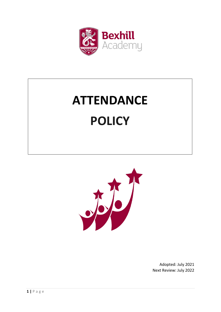

# **ATTENDANCE POLICY**



Adopted: July 2021 Next Review: July 2022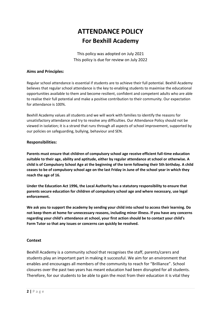# **ATTENDANCE POLICY For Bexhill Academy**

This policy was adopted on July 2021 This policy is due for review on July 2022

#### **Aims and Principles:**

Regular school attendance is essential if students are to achieve their full potential. Bexhill Academy believes that regular school attendance is the key to enabling students to maximise the educational opportunities available to them and become resilient, confident and competent adults who are able to realise their full potential and make a positive contribution to their community. Our expectation for attendance is 100%.

Bexhill Academy values all students and we will work with families to identify the reasons for unsatisfactory attendance and try to resolve any difficulties. Our Attendance Policy should not be viewed in isolation; it is a strand that runs through all aspects of school improvement, supported by our policies on safeguarding, bullying, behaviour and SEN.

#### **Responsibilities:**

**Parents must ensure that children of compulsory school age receive efficient full-time education suitable to their age, ability and aptitude, either by regular attendance at school or otherwise. A child is of Compulsory School Age at the beginning of the term following their 5th birthday. A child ceases to be of compulsory school age on the last Friday in June of the school year in which they reach the age of 16.**

**Under the Education Act 1996, the Local Authority has a statutory responsibility to ensure that parents secure education for children of compulsory school age and where necessary, use legal enforcement.**

**We ask you to support the academy by sending your child into school to access their learning. Do not keep them at home for unnecessary reasons, including minor illness. If you have any concerns regarding your child's attendance at school, your first action should be to contact your child's Form Tutor so that any issues or concerns can quickly be resolved.**

#### **Context**

Bexhill Academy is a community school that recognises the staff, parents/carers and students play an important part in making it successful. We aim for an environment that enables and encourages all members of the community to reach for "Brilliance". School closures over the past two years has meant education had been disrupted for all students. Therefore, for our students to be able to gain the most from their education it is vital they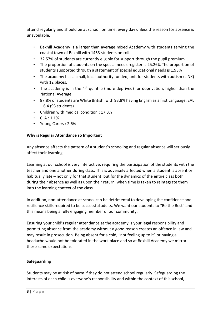attend regularly and should be at school, on time, every day unless the reason for absence is unavoidable.

- Bexhill Academy is a larger than average mixed Academy with students serving the coastal town of Bexhill with 1453 students on roll.
- 32.57% of students are currently eligible for support through the pupil premium.
- The proportion of students on the special needs register is 25.26% The proportion of students supported through a statement of special educational needs is 1.93%
- The academy has a small, local authority funded, unit for students with autism (LINK) with 12 places.
- The academy is in the  $4<sup>th</sup>$  quintile (more deprived) for deprivation, higher than the National Average
- 87.8% of students are White British, with 93.8% having English as a first Language. EAL – 6.4 (93 students)
- Children with medical condition : 17.3%
- $CIA:1.1%$
- Young Carers : 2.6%

# **Why is Regular Attendance so Important**

Any absence affects the pattern of a student's schooling and regular absence will seriously affect their learning.

Learning at our school is very interactive, requiring the participation of the students with the teacher and one another during class. This is adversely affected when a student is absent or habitually late – not only for that student, but for the dynamics of the entire class both during their absence as well as upon their return, when time is taken to reintegrate them into the learning context of the class.

In addition, non-attendance at school can be detrimental to developing the confidence and resilience skills required to be successful adults. We want our students to "Be the Best" and this means being a fully engaging member of our community.

Ensuring your child's regular attendance at the academy is your legal responsibility and permitting absence from the academy without a good reason creates an offence in law and may result in prosecution. Being absent for a cold, "not feeling up to it" or having a headache would not be tolerated in the work place and so at Bexhill Academy we mirror these same expectations.

# **Safeguarding**

Students may be at risk of harm if they do not attend school regularly. Safeguarding the interests of each child is everyone's responsibility and within the context of this school,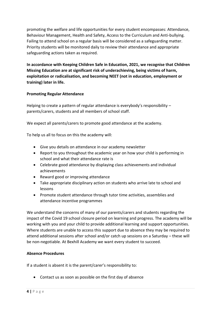promoting the welfare and life opportunities for every student encompasses: Attendance, Behaviour Management, Health and Safety, Access to the Curriculum and Anti-bullying. Failing to attend school on a regular basis will be considered as a safeguarding matter. Priority students will be monitored daily to review their attendance and appropriate safeguarding actions taken as required.

**In accordance with Keeping Children Safe in Education, 2021, we recognise that Children Missing Education are at significant risk of underachieving, being victims of harm, exploitation or radicalisation, and becoming NEET (not in education, employment or training) later in life.**

# **Promoting Regular Attendance**

Helping to create a pattern of regular attendance is everybody's responsibility – parents/carers, students and all members of school staff.

We expect all parents/carers to promote good attendance at the academy.

To help us all to focus on this the academy will:

- Give you details on attendance in our academy newsletter
- Report to you throughout the academic year on how your child is performing in school and what their attendance rate is
- Celebrate good attendance by displaying class achievements and individual achievements
- Reward good or improving attendance
- Take appropriate disciplinary action on students who arrive late to school and lessons
- Promote student attendance through tutor time activities, assemblies and attendance incentive programmes

We understand the concerns of many of our parents/carers and students regarding the impact of the Covid 19 school closure period on learning and progress. The academy will be working with you and your child to provide additional learning and support opportunities. Where students are unable to access this support due to absence they may be required to attend additional sessions after school and/or catch up sessions on a Saturday – these will be non-negotiable. At Bexhill Academy we want every student to succeed.

# **Absence Procedures**

If a student is absent it is the parent/carer's responsibility to:

Contact us as soon as possible on the first day of absence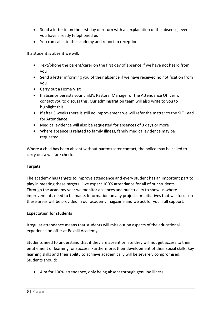- Send a letter in on the first day of return with an explanation of the absence, even if you have already telephoned us
- You can call into the academy and report to reception

If a student is absent we will:

- Text/phone the parent/carer on the first day of absence if we have not heard from you
- Send a letter informing you of their absence if we have received no notification from you
- Carry out a Home Visit
- If absence persists your child's Pastoral Manager or the Attendance Officer will contact you to discuss this. Our administration team will also write to you to highlight this.
- If after 3 weeks there is still no improvement we will refer the matter to the SLT Lead for Attendance
- Medical evidence will also be requested for absences of 3 days or more
- Where absence is related to family illness, family medical evidence may be requested.

Where a child has been absent without parent/carer contact, the police may be called to carry out a welfare check.

# **Targets**

The academy has targets to improve attendance and every student has an important part to play in meeting these targets – we expect 100% attendance for all of our students. Through the academy year we monitor absences and punctuality to show us where improvements need to be made. Information on any projects or initiatives that will focus on these areas will be provided in our academy magazine and we ask for your full support.

# **Expectation for students**

Irregular attendance means that students will miss out on aspects of the educational experience on offer at Bexhill Academy.

Students need to understand that if they are absent or late they will not get access to their entitlement of learning for success. Furthermore, their development of their social skills, key learning skills and their ability to achieve academically will be severely compromised. Students should:

• Aim for 100% attendance, only being absent through genuine illness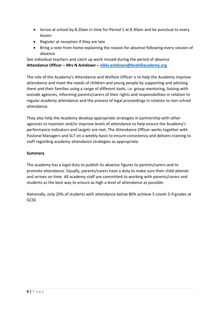- Arrive at school by 8.20am in time for Period 1 at 8.30am and be punctual to every lesson
- Register at reception if they are late
- Bring a note from home explaining the reason for absence following every session of absence

See individual teachers and catch up work missed during the period of absence **Attendance Officer – Mrs N Ashdown – [nikki.ashdown@bexhillacademy.org](mailto:nikki.ashdown@bexhillacademy.org)**

The role of the Academy's Attendance and Welfare Officer is to help the Academy improve attendance and meet the needs of children and young people by supporting and advising them and their families using a range of different tools, i.e. group mentoring, liaising with outside agencies, informing parents/carers of their rights and responsibilities in relation to regular academy attendance and the process of legal proceedings in relation to non-school attendance.

They also help the Academy develop appropriate strategies in partnership with other agencies to maintain and/or improve levels of attendance to help ensure the Academy's performance indicators and targets are met. The Attendance Officer works together with Pastoral Managers and SLT on a weekly basis to ensure consistency and delivers training to staff regarding academy attendance strategies as appropriate.

# **Summary**

The academy has a legal duty to publish its absence figures to parents/carers and to promote attendance. Equally, parents/carers have a duty to make sure their child attends and arrives on time. All academy staff are committed to working with parents/carers and students as the best way to ensure as high a level of attendance as possible.

Nationally, only 20% of students with attendance below 80% achieve 5 Levels 5-9 grades at GCSE.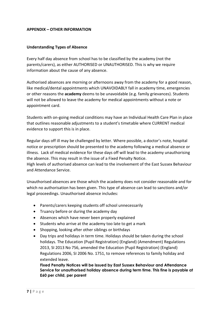#### **APPENDIX – OTHER INFORMATION**

#### **Understanding Types of Absence**

Every half day absence from school has to be classified by the academy (not the parents/carers), as either AUTHORISED or UNAUTHORISED. This is why we require information about the cause of any absence.

Authorised absences are morning or afternoons away from the academy for a good reason, like medical/dental appointments which UNAVOIDABLY fall in academy time, emergencies or other reasons the **academy** deems to be unavoidable (e.g. family grievances). Students will not be allowed to leave the academy for medical appointments without a note or appointment card.

Students with on-going medical conditions may have an Individual Health Care Plan in place that outlines reasonable adjustments to a student's timetable where CURRENT medical evidence to support this is in place.

Regular days off ill may be challenged by letter. Where possible, a doctor's note, hospital notice or prescription should be presented to the academy following a medical absence or illness. Lack of medical evidence for these days off will lead to the academy unauthorising the absence. This may result in the issue of a Fixed Penalty Notice. High levels of authorised absence can lead to the involvement of the East Sussex Behaviour

and Attendance Service.

Unauthorised absences are those which the academy does not consider reasonable and for which no authorisation has been given. This type of absence can lead to sanctions and/or legal proceedings. Unauthorised absence includes:

- Parents/carers keeping students off school unnecessarily
- Truancy before or during the academy day
- Absences which have never been properly explained
- Students who arrive at the academy too late to get a mark
- Shopping, looking after other siblings or birthdays
- Day trips and holidays in term time. Holidays should be taken during the school holidays. The Education (Pupil Registration) (England) (Amendment) Regulations 2013, SI 2013 No 756, amended the Education (Pupil Registration) (England) Regulations 2006, SI 2006 No. 1751, to remove references to family holiday and extended leave.

**Fixed Penalty Notices will be issued by East Sussex Behaviour and Attendance Service for unauthorised holiday absence during term time. This fine is payable at £60 per child, per parent**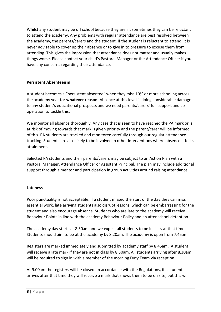Whilst any student may be off school because they are ill, sometimes they can be reluctant to attend the academy. Any problems with regular attendance are best resolved between the academy, the parents/carers and the student. If the student is reluctant to attend, it is never advisable to cover up their absence or to give in to pressure to excuse them from attending. This gives the impression that attendance does not matter and usually makes things worse. Please contact your child's Pastoral Manager or the Attendance Officer if you have any concerns regarding their attendance.

# **Persistent Absenteeism**

A student becomes a "persistent absentee" when they miss 10% or more schooling across the academy year for **whatever reason**. Absence at this level is doing considerable damage to any student's educational prospects and we need parents/carers' full support and cooperation to tackle this.

We monitor all absence thoroughly. Any case that is seen to have reached the PA mark or is at risk of moving towards that mark is given priority and the parent/carer will be informed of this. PA students are tracked and monitored carefully through our regular attendance tracking. Students are also likely to be involved in other interventions where absence affects attainment.

Selected PA students and their parents/carers may be subject to an Action Plan with a Pastoral Manager, Attendance Officer or Assistant Principal. The plan may include additional support through a mentor and participation in group activities around raising attendance.

# **Lateness**

Poor punctuality is not acceptable. If a student missed the start of the day they can miss essential work, late arriving students also disrupt lessons, which can be embarrassing for the student and also encourage absence. Students who are late to the academy will receive Behaviour Points in line with the academy Behaviour Policy and an after school detention.

The academy day starts at 8.30am and we expect all students to be in class at that time. Students should aim to be at the academy by 8.20am. The academy is open from 7.45am.

Registers are marked immediately and submitted by academy staff by 8.45am. A student will receive a late mark if they are not in class by 8.30am. All students arriving after 8.30am will be required to sign in with a member of the morning Duty Team via reception.

At 9.00am the registers will be closed. In accordance with the Regulations, if a student arrives after that time they will receive a mark that shows them to be on site, but this will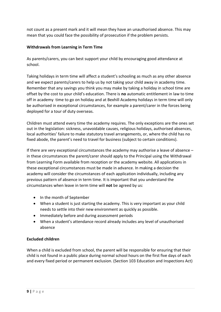not count as a present mark and it will mean they have an unauthorised absence. This may mean that you could face the possibility of prosecution if the problem persists.

# **Withdrawals from Learning in Term Time**

As parents/carers, you can best support your child by encouraging good attendance at school.

Taking holidays in term time will affect a student's schooling as much as any other absence and we expect parents/carers to help us by not taking your child away in academy time. Remember that any savings you think you may make by taking a holiday in school time are offset by the cost to your child's education. There is **no** automatic entitlement in law to time off in academy time to go on holiday and at Bexhill Academy holidays in term time will only be authorised in exceptional circumstances, for example a parent/carer in the forces being deployed for a tour of duty overseas.

Children must attend every time the academy requires. The only exceptions are the ones set out in the legislation: sickness, unavoidable causes, religious holidays, authorised absences, local authorities' failure to make statutory travel arrangements, or, where the child has no fixed abode, the parent's need to travel for business (subject to certain conditions).

If there are very exceptional circumstances the academy may authorise a leave of absence – in these circumstances the parent/carer should apply to the Principal using the Withdrawal from Learning Form available from reception or the academy website. All applications in these exceptional circumstances must be made in advance. In making a decision the academy will consider the circumstances of each application individually, including any previous pattern of absence in term time. It is important that you understand the circumstances when leave in term time will **not** be agreed by us:

- In the month of September
- When a student is just starting the academy. This is very important as your child needs to settle into their new environment as quickly as possible.
- Immediately before and during assessment periods
- When a student's attendance record already includes any level of unauthorised absence

# **Excluded children**

When a child is excluded from school, the parent will be responsible for ensuring that their child is not found in a public place during normal school hours on the first five days of each and every fixed period or permanent exclusion. (Section 103 Education and Inspections Act)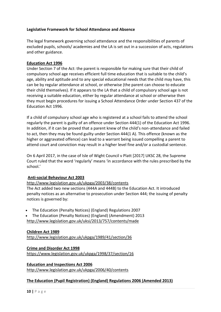# **Legislative Framework for School Attendance and Absence**

The legal framework governing school attendance and the responsibilities of parents of excluded pupils, schools/ academies and the LA is set out in a succession of acts, regulations and other guidance.

#### **Education Act 1996**

Under Section 7 of the Act: the parent is responsible for making sure that their child of compulsory school age receives efficient full time education that is suitable to the child's age, ability and aptitude and to any special educational needs that the child may have, this can be by regular attendance at school, or otherwise (the parent can choose to educate their child themselves). If it appears to the LA that a child of compulsory school age is not receiving a suitable education, either by regular attendance at school or otherwise then they must begin procedures for issuing a School Attendance Order under Section 437 of the Education Act 1996.

If a child of compulsory school age who is registered at a school fails to attend the school regularly the parent is guilty of an offence under Section 444(1) of the Education Act 1996. In addition, if it can be proved that a parent knew of the child's non-attendance and failed to act, then they may be found guilty under Section 444(1 A). This offence (known as the higher or aggravated offence) can lead to a warrant being issued compelling a parent to attend court and conviction may result in a higher level fine and/or a custodial sentence.

On 6 April 2017, in the case of Isle of Wight Council v Platt [2017] UKSC 28, the Supreme Court ruled that the word 'regularly' means 'in accordance with the rules prescribed by the school.'

#### **Anti-social Behaviour Act 2003**

#### <http://www.legislation.gov.uk/ukpga/2003/38/contents>

The Act added two new sections (444A and 444B) to the Education Act. It introduced penalty notices as an alternative to prosecution under Section 444; the issuing of penalty notices is governed by:

The Education (Penalty Notices) (England) Regulations 2007

 The Education (Penalty Notices) (England) (Amendment) 2013 <http://www.legislation.gov.uk/uksi/2013/757/contents/made>

#### **Children Act 1989**

<http://www.legislation.gov.uk/ukpga/1989/41/section/36>

# **Crime and Disorder Act 1998**

<https://www.legislation.gov.uk/ukpga/1998/37/section/16>

**Education and Inspections Act 2006** <http://www.legislation.gov.uk/ukpga/2006/40/contents>

# **The Education (Pupil Registration) (England) Regulations 2006 (Amended 2013)**